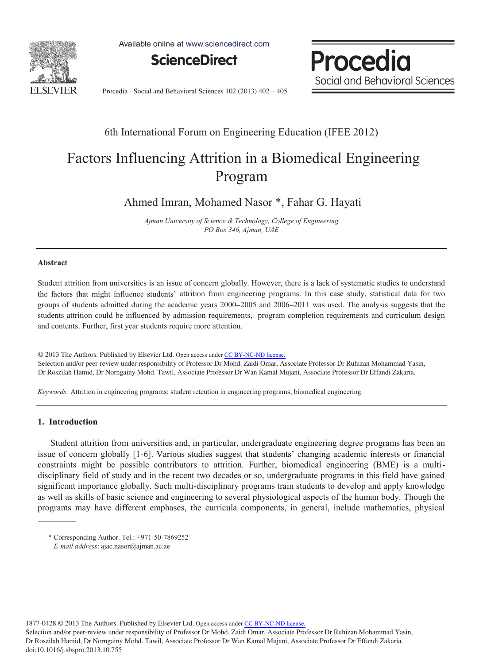

Available online at www.sciencedirect.com



Procedia Social and Behavioral Sciences

Procedia - Social and Behavioral Sciences 102 (2013) 402 – 405

# 6th International Forum on Engineering Education (IFEE 2012)

# Factors Influencing Attrition in a Biomedical Engineering Program

Ahmed Imran, Mohamed Nasor \*, Fahar G. Hayati

 *Ajman University of Science & Technology, College of Engineering. PO Box 346, Ajman, UAE* 

### **Abstract**

Student attrition from universities is an issue of concern globally. However, there is a lack of systematic studies to understand the factors that might influence students' attrition from engineering programs. In this case study, statistical data for two groups of students admitted during the academic years 2000–2005 and 2006–2011 was used. The analysis suggests that the students attrition could be influenced by admission requirements, program completion requirements and curriculum design and contents. Further, first year students require more attention.

© 2013 The Authors. Published by Elsevier Ltd. © 2013 The Authors. Published by Elsevier Ltd. Open access under [CC BY-NC-ND license.](http://creativecommons.org/licenses/by-nc-nd/3.0/) Selection and/or peer-review under responsibility of Professor Dr Mohd. Zaidi Omar, Associate Professor Dr Ruhizan Mohammad Yasin, Dr Roszilah Hamid, Dr Norngainy Mohd. Tawil, Associate Professor Dr Wan Kamal Mujani, Associate Professor Dr Effandi Zakaria.

*Keywords:* Attrition in engineering programs; student retention in engineering programs; biomedical engineering.

## **1. Introduction**

 Student attrition from universities and, in particular, undergraduate engineering degree programs has been an issue of concern globally [1-6]. Various studies suggest that students' changing academic interests or financial constraints might be possible contributors to attrition. Further, biomedical engineering (BME) is a multidisciplinary field of study and in the recent two decades or so, undergraduate programs in this field have gained significant importance globally. Such multi-disciplinary programs train students to develop and apply knowledge as well as skills of basic science and engineering to several physiological aspects of the human body. Though the programs may have different emphases, the curricula components, in general, include mathematics, physical

1877-0428 © 2013 The Authors. Published by Elsevier Ltd. Open access under [CC BY-NC-ND license.](http://creativecommons.org/licenses/by-nc-nd/3.0/)

Selection and/or peer-review under responsibility of Professor Dr Mohd. Zaidi Omar, Associate Professor Dr Ruhizan Mohammad Yasin, Dr Roszilah Hamid, Dr Norngainy Mohd. Tawil, Associate Professor Dr Wan Kamal Mujani, Associate Professor Dr Effandi Zakaria. doi: 10.1016/j.sbspro.2013.10.755

<sup>\*</sup> Corresponding Author. Tel.: +971-50-7869252  *E-mail address*: ajac.nasor@ajman.ac.ae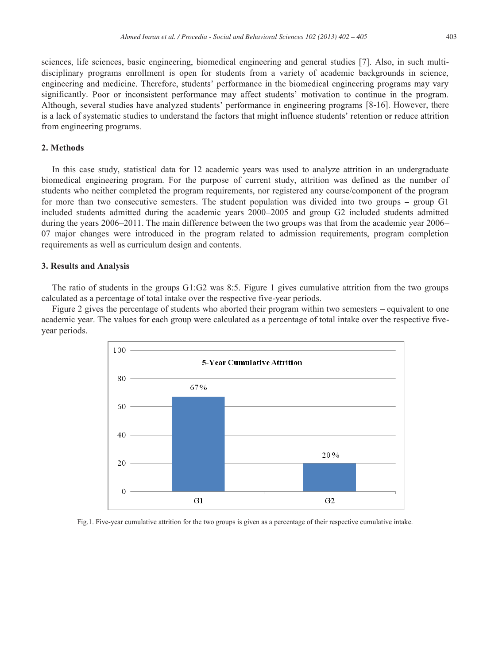sciences, life sciences, basic engineering, biomedical engineering and general studies [7]. Also, in such multidisciplinary programs enrollment is open for students from a variety of academic backgrounds in science, engineering and medicine. Therefore, students' performance in the biomedical engineering programs may vary significantly. Poor or inconsistent performance may affect students' motivation to continue in the program. Although, several studies have analyzed students' performance in engineering programs [8-16]. However, there is a lack of systematic studies to understand the factors that might influence students' retention or reduce attrition from engineering programs.

#### **2. Methods**

In this case study, statistical data for 12 academic years was used to analyze attrition in an undergraduate biomedical engineering program. For the purpose of current study, attrition was defined as the number of students who neither completed the program requirements, nor registered any course/component of the program for more than two consecutive semesters. The student population was divided into two groups  $-$  group G1 included students admitted during the academic years 2000 2005 and group G2 included students admitted during the years 2006–2011. The main difference between the two groups was that from the academic year 2006– 07 major changes were introduced in the program related to admission requirements, program completion requirements as well as curriculum design and contents.

#### **3. Results and Analysis**

The ratio of students in the groups G1:G2 was 8:5. Figure 1 gives cumulative attrition from the two groups calculated as a percentage of total intake over the respective five-year periods.

Figure 2 gives the percentage of students who aborted their program within two semesters – equivalent to one academic year. The values for each group were calculated as a percentage of total intake over the respective fiveyear periods.



Fig.1. Five-year cumulative attrition for the two groups is given as a percentage of their respective cumulative intake.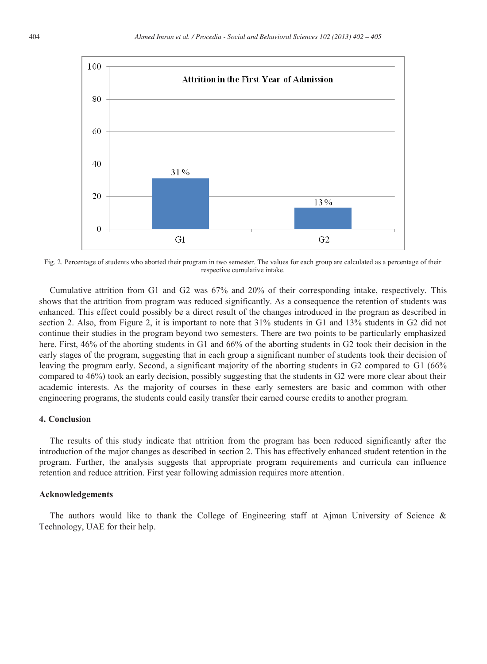

Fig. 2. Percentage of students who aborted their program in two semester. The values for each group are calculated as a percentage of their respective cumulative intake.

Cumulative attrition from G1 and G2 was 67% and 20% of their corresponding intake, respectively. This shows that the attrition from program was reduced significantly. As a consequence the retention of students was enhanced. This effect could possibly be a direct result of the changes introduced in the program as described in section 2. Also, from Figure 2, it is important to note that 31% students in G1 and 13% students in G2 did not continue their studies in the program beyond two semesters. There are two points to be particularly emphasized here. First, 46% of the aborting students in G1 and 66% of the aborting students in G2 took their decision in the early stages of the program, suggesting that in each group a significant number of students took their decision of leaving the program early. Second, a significant majority of the aborting students in G2 compared to G1 (66% compared to 46%) took an early decision, possibly suggesting that the students in G2 were more clear about their academic interests. As the majority of courses in these early semesters are basic and common with other engineering programs, the students could easily transfer their earned course credits to another program.

#### **4. Conclusion**

The results of this study indicate that attrition from the program has been reduced significantly after the introduction of the major changes as described in section 2. This has effectively enhanced student retention in the program. Further, the analysis suggests that appropriate program requirements and curricula can influence retention and reduce attrition. First year following admission requires more attention.

#### **Acknowledgements**

The authors would like to thank the College of Engineering staff at Ajman University of Science & Technology, UAE for their help.